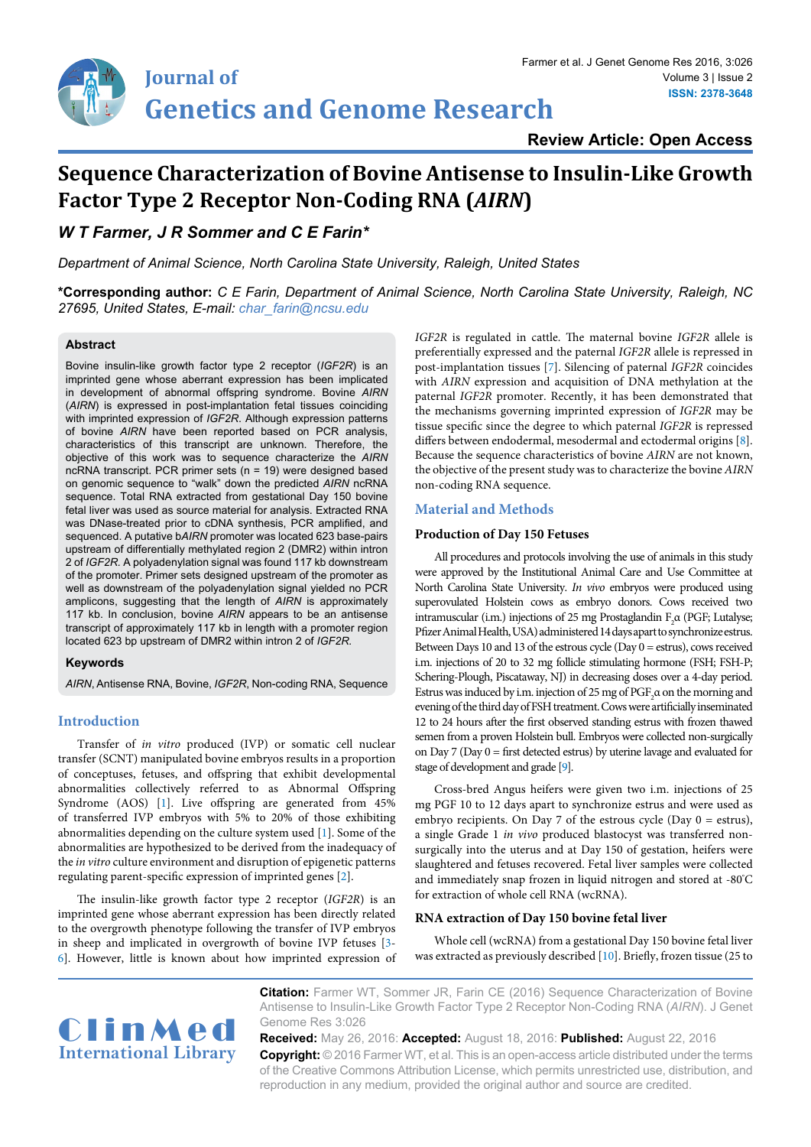**Review Article: Open Access**

# **Sequence Characterization of Bovine Antisense to Insulin-Like Growth Factor Type 2 Receptor Non-Coding RNA (***AIRN***)**

## *W T Farmer, J R Sommer and C E Farin\**

*Department of Animal Science, North Carolina State University, Raleigh, United States*

**\*Corresponding author:** *C E Farin, Department of Animal Science, North Carolina State University, Raleigh, NC 27695, United States, E-mail: char\_farin@ncsu.edu*

#### **Abstract**

Bovine insulin-like growth factor type 2 receptor (*IGF2R*) is an imprinted gene whose aberrant expression has been implicated in development of abnormal offspring syndrome. Bovine *AIRN* (*AIRN*) is expressed in post-implantation fetal tissues coinciding with imprinted expression of *IGF2R*. Although expression patterns of bovine *AIRN* have been reported based on PCR analysis, characteristics of this transcript are unknown. Therefore, the objective of this work was to sequence characterize the *AIRN* ncRNA transcript. PCR primer sets (n = 19) were designed based on genomic sequence to "walk" down the predicted *AIRN* ncRNA sequence. Total RNA extracted from gestational Day 150 bovine fetal liver was used as source material for analysis. Extracted RNA was DNase-treated prior to cDNA synthesis, PCR amplified, and sequenced. A putative b*AIRN* promoter was located 623 base-pairs upstream of differentially methylated region 2 (DMR2) within intron 2 of *IGF2R.* A polyadenylation signal was found 117 kb downstream of the promoter. Primer sets designed upstream of the promoter as well as downstream of the polyadenylation signal yielded no PCR amplicons, suggesting that the length of *AIRN* is approximately 117 kb. In conclusion, bovine *AIRN* appears to be an antisense transcript of approximately 117 kb in length with a promoter region located 623 bp upstream of DMR2 within intron 2 of *IGF2R.*

#### **Keywords**

*AIRN*, Antisense RNA, Bovine, *IGF2R*, Non-coding RNA, Sequence

#### **Introduction**

Transfer of *in vitro* produced (IVP) or somatic cell nuclear transfer (SCNT) manipulated bovine embryos results in a proportion of conceptuses, fetuses, and offspring that exhibit developmental abnormalities collectively referred to as Abnormal Offspring Syndrome (AOS) [\[1](#page-4-4)]. Live offspring are generated from 45% of transferred IVP embryos with 5% to 20% of those exhibiting abnormalities depending on the culture system used [\[1](#page-4-4)]. Some of the abnormalities are hypothesized to be derived from the inadequacy of the *in vitro* culture environment and disruption of epigenetic patterns regulating parent-specific expression of imprinted genes [\[2\]](#page-4-5).

The insulin-like growth factor type 2 receptor (*IGF2R*) is an imprinted gene whose aberrant expression has been directly related to the overgrowth phenotype following the transfer of IVP embryos in sheep and implicated in overgrowth of bovine IVP fetuses [[3](#page-4-6)- [6\]](#page-4-7). However, little is known about how imprinted expression of *IGF2R* is regulated in cattle. The maternal bovine *IGF2R* allele is preferentially expressed and the paternal *IGF2R* allele is repressed in post-implantation tissues [\[7\]](#page-4-0). Silencing of paternal *IGF2R* coincides with *AIRN* expression and acquisition of DNA methylation at the paternal *IGF2R* promoter. Recently, it has been demonstrated that the mechanisms governing imprinted expression of *IGF2R* may be tissue specific since the degree to which paternal *IGF2R* is repressed differs between endodermal, mesodermal and ectodermal origins [\[8\]](#page-4-1). Because the sequence characteristics of bovine *AIRN* are not known, the objective of the present study was to characterize the bovine *AIRN* non-coding RNA sequence.

#### **Material and Methods**

#### **Production of Day 150 Fetuses**

All procedures and protocols involving the use of animals in this study were approved by the Institutional Animal Care and Use Committee at North Carolina State University. *In vivo* embryos were produced using superovulated Holstein cows as embryo donors. Cows received two intramuscular (i.m.) injections of 25 mg Prostaglandin  $F_2\alpha$  (PGF; Lutalyse; Pfizer Animal Health, USA) administered 14 days apart to synchronize estrus. Between Days 10 and 13 of the estrous cycle (Day 0 = estrus), cows received i.m. injections of 20 to 32 mg follicle stimulating hormone (FSH; FSH-P; Schering-Plough, Piscataway, NJ) in decreasing doses over a 4-day period. Estrus was induced by i.m. injection of 25 mg of  $\mathrm{PGF}_2\alpha$  on the morning and evening of the third day of FSH treatment. Cows were artificially inseminated 12 to 24 hours after the first observed standing estrus with frozen thawed semen from a proven Holstein bull. Embryos were collected non-surgically on Day 7 (Day 0 = first detected estrus) by uterine lavage and evaluated for stage of development and grade [[9](#page-4-2)].

Cross-bred Angus heifers were given two i.m. injections of 25 mg PGF 10 to 12 days apart to synchronize estrus and were used as embryo recipients. On Day 7 of the estrous cycle (Day 0 = estrus), a single Grade 1 *in vivo* produced blastocyst was transferred nonsurgically into the uterus and at Day 150 of gestation, heifers were slaughtered and fetuses recovered. Fetal liver samples were collected and immediately snap frozen in liquid nitrogen and stored at -80° C for extraction of whole cell RNA (wcRNA).

#### **RNA extraction of Day 150 bovine fetal liver**

Whole cell (wcRNA) from a gestational Day 150 bovine fetal liver was extracted as previously described [\[10\]](#page-4-3). Briefly, frozen tissue (25 to



**Citation:** Farmer WT, Sommer JR, Farin CE (2016) Sequence Characterization of Bovine Antisense to Insulin-Like Growth Factor Type 2 Receptor Non-Coding RNA (*AIRN*). J Genet Genome Res 3:026

**Received:** May 26, 2016: **Accepted:** August 18, 2016: **Published:** August 22, 2016 **Copyright:** © 2016 Farmer WT, et al. This is an open-access article distributed under the terms of the Creative Commons Attribution License, which permits unrestricted use, distribution, and reproduction in any medium, provided the original author and source are credited.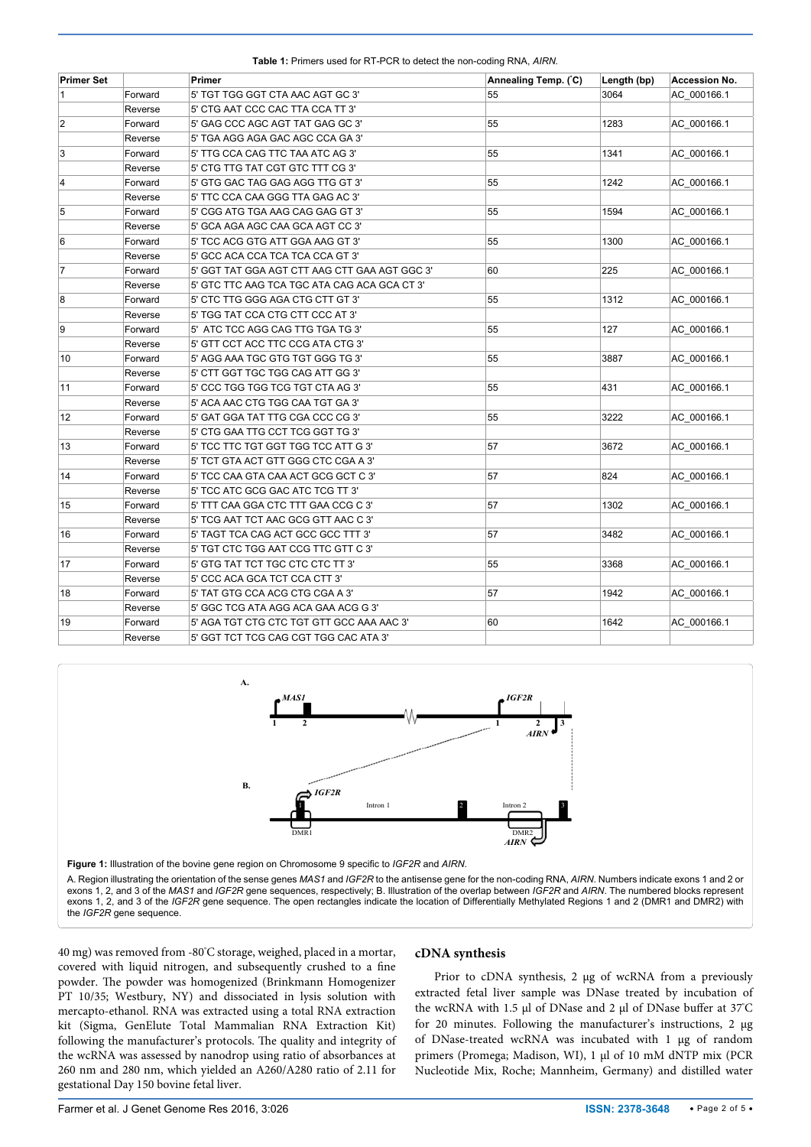<span id="page-1-0"></span>**Table 1:** Primers used for RT-PCR to detect the non-coding RNA, *AIRN.*

| <b>Primer Set</b> |         | <b>Primer</b>                                 | Annealing Temp. (°C) | Length (bp) | <b>Accession No.</b> |
|-------------------|---------|-----------------------------------------------|----------------------|-------------|----------------------|
| 1                 | Forward | 5' TGT TGG GGT CTA AAC AGT GC 3'              | 55                   | 3064        | AC 000166.1          |
|                   | Reverse | 5' CTG AAT CCC CAC TTA CCA TT 3'              |                      |             |                      |
| 2                 | Forward | 5' GAG CCC AGC AGT TAT GAG GC 3'              | 55                   | 1283        | AC 000166.1          |
|                   | Reverse | 5' TGA AGG AGA GAC AGC CCA GA 3'              |                      |             |                      |
| 3                 | Forward | 5' TTG CCA CAG TTC TAA ATC AG 3'              | 55                   | 1341        | AC 000166.1          |
|                   | Reverse | 5' CTG TTG TAT CGT GTC TTT CG 3'              |                      |             |                      |
| 4                 | Forward | 5' GTG GAC TAG GAG AGG TTG GT 3'              | 55                   | 1242        | AC_000166.1          |
|                   | Reverse | 5' TTC CCA CAA GGG TTA GAG AC 3'              |                      |             |                      |
| 5                 | Forward | 5' CGG ATG TGA AAG CAG GAG GT 3'              | 55                   | 1594        | AC 000166.1          |
|                   | Reverse | 5' GCA AGA AGC CAA GCA AGT CC 3'              |                      |             |                      |
| 6                 | Forward | 5' TCC ACG GTG ATT GGA AAG GT 3'              | 55                   | 1300        | AC 000166.1          |
|                   | Reverse | 5' GCC ACA CCA TCA TCA CCA GT 3'              |                      |             |                      |
| 7                 | Forward | 5' GGT TAT GGA AGT CTT AAG CTT GAA AGT GGC 3' | 60                   | 225         | AC 000166.1          |
|                   | Reverse | 5' GTC TTC AAG TCA TGC ATA CAG ACA GCA CT 3'  |                      |             |                      |
| 8                 | Forward | 5' CTC TTG GGG AGA CTG CTT GT 3'              | 55                   | 1312        | AC 000166.1          |
|                   | Reverse | 5' TGG TAT CCA CTG CTT CCC AT 3'              |                      |             |                      |
| 9                 | Forward | 5' ATC TCC AGG CAG TTG TGA TG 3'              | 55                   | 127         | AC 000166.1          |
|                   | Reverse | 5' GTT CCT ACC TTC CCG ATA CTG 3'             |                      |             |                      |
| 10                | Forward | 5' AGG AAA TGC GTG TGT GGG TG 3'              | 55                   | 3887        | AC_000166.1          |
|                   | Reverse | 5' CTT GGT TGC TGG CAG ATT GG 3'              |                      |             |                      |
| 11                | Forward | 5' CCC TGG TGG TCG TGT CTA AG 3'              | 55                   | 431         | AC 000166.1          |
|                   | Reverse | 5' ACA AAC CTG TGG CAA TGT GA 3'              |                      |             |                      |
| 12                | Forward | 5' GAT GGA TAT TTG CGA CCC CG 3'              | 55                   | 3222        | AC_000166.1          |
|                   | Reverse | 5' CTG GAA TTG CCT TCG GGT TG 3'              |                      |             |                      |
| 13                | Forward | 5' TCC TTC TGT GGT TGG TCC ATT G 3'           | 57                   | 3672        | AC_000166.1          |
|                   | Reverse | 5' TCT GTA ACT GTT GGG CTC CGA A 3'           |                      |             |                      |
| 14                | Forward | 5' TCC CAA GTA CAA ACT GCG GCT C 3'           | 57                   | 824         | AC_000166.1          |
|                   | Reverse | 5' TCC ATC GCG GAC ATC TCG TT 3'              |                      |             |                      |
| 15                | Forward | 5' TTT CAA GGA CTC TTT GAA CCG C 3'           | 57                   | 1302        | AC 000166.1          |
|                   | Reverse | 5' TCG AAT TCT AAC GCG GTT AAC C 3'           |                      |             |                      |
| 16                | Forward | 5' TAGT TCA CAG ACT GCC GCC TTT 3'            | 57                   | 3482        | AC 000166.1          |
|                   | Reverse | 5' TGT CTC TGG AAT CCG TTC GTT C 3'           |                      |             |                      |
| 17                | Forward | 5' GTG TAT TCT TGC CTC CTC TT 3'              | 55                   | 3368        | AC_000166.1          |
|                   | Reverse | 5' CCC ACA GCA TCT CCA CTT 3'                 |                      |             |                      |
| 18                | Forward | 5' TAT GTG CCA ACG CTG CGA A 3'               | 57                   | 1942        | AC_000166.1          |
|                   | Reverse | 5' GGC TCG ATA AGG ACA GAA ACG G 3'           |                      |             |                      |
| 19                | Forward | 5' AGA TGT CTG CTC TGT GTT GCC AAA AAC 3'     | 60                   | 1642        | AC_000166.1          |
|                   | Reverse | 5' GGT TCT TCG CAG CGT TGG CAC ATA 3'         |                      |             |                      |

<span id="page-1-1"></span>

40 mg) was removed from -80° C storage, weighed, placed in a mortar, covered with liquid nitrogen, and subsequently crushed to a fine powder. The powder was homogenized (Brinkmann Homogenizer PT 10/35; Westbury, NY) and dissociated in lysis solution with mercapto-ethanol. RNA was extracted using a total RNA extraction kit (Sigma, GenElute Total Mammalian RNA Extraction Kit) following the manufacturer's protocols. The quality and integrity of the wcRNA was assessed by nanodrop using ratio of absorbances at 260 nm and 280 nm, which yielded an A260/A280 ratio of 2.11 for gestational Day 150 bovine fetal liver.

## **cDNA synthesis**

Prior to cDNA synthesis, 2 µg of wcRNA from a previously extracted fetal liver sample was DNase treated by incubation of the wcRNA with 1.5 μl of DNase and 2 μl of DNase buffer at 37°C for 20 minutes. Following the manufacturer's instructions, 2 µg of DNase-treated wcRNA was incubated with 1 µg of random primers (Promega; Madison, WI), 1 µl of 10 mM dNTP mix (PCR Nucleotide Mix, Roche; Mannheim, Germany) and distilled water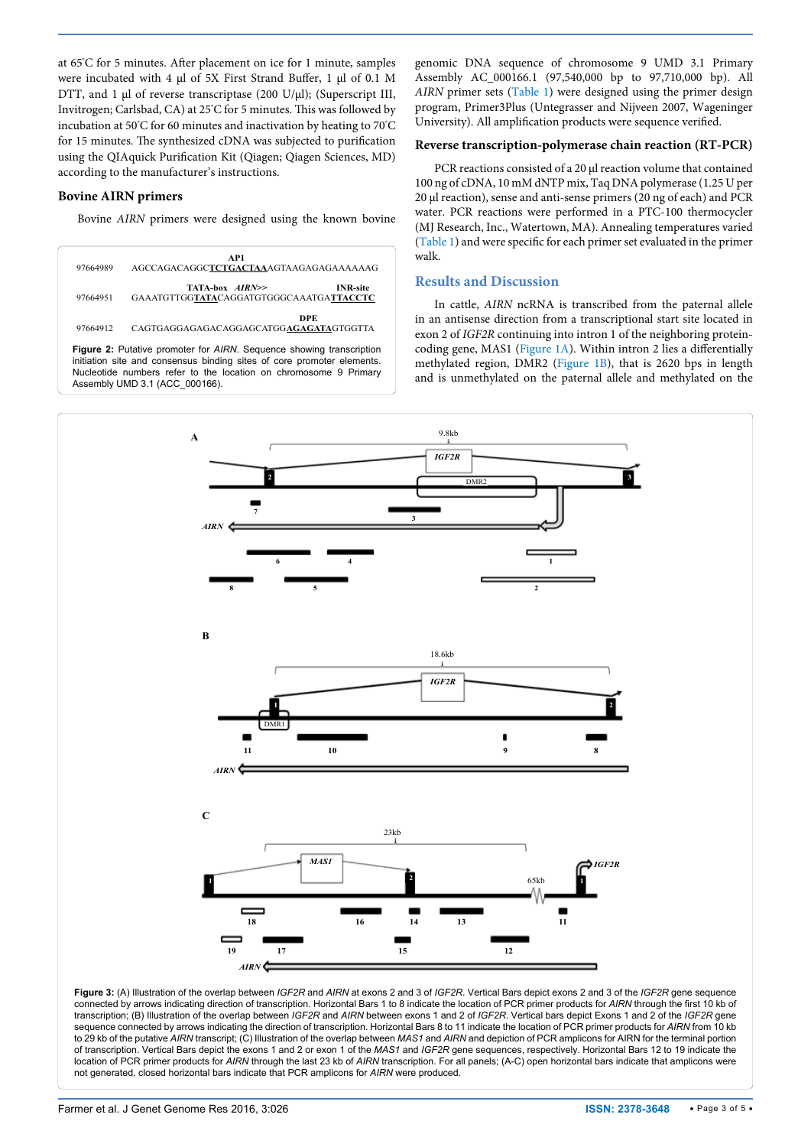at 65° C for 5 minutes. After placement on ice for 1 minute, samples were incubated with 4 µl of 5X First Strand Buffer, 1 µl of 0.1 M DTT, and 1 µl of reverse transcriptase (200 U/µl); (Superscript III, Invitrogen; Carlsbad, CA) at 25° C for 5 minutes. This was followed by incubation at 50° C for 60 minutes and inactivation by heating to 70° C for 15 minutes. The synthesized cDNA was subjected to purification using the QIAquick Purification Kit (Qiagen; Qiagen Sciences, MD) according to the manufacturer's instructions.

## **Bovine AIRN primers**

Bovine *AIRN* primers were designed using the known bovine

<span id="page-2-0"></span>

genomic DNA sequence of chromosome 9 UMD 3.1 Primary Assembly AC\_000166.1 (97,540,000 bp to 97,710,000 bp). All *AIRN* primer sets ([Table 1](#page-1-0)) were designed using the primer design program, Primer3Plus (Untegrasser and Nijveen 2007, Wageninger University). All amplification products were sequence verified.

### **Reverse transcription-polymerase chain reaction (RT-PCR)**

PCR reactions consisted of a 20 µl reaction volume that contained 100 ng of cDNA, 10 mM dNTP mix, Taq DNA polymerase (1.25 U per 20 µl reaction), sense and anti-sense primers (20 ng of each) and PCR water. PCR reactions were performed in a PTC-100 thermocycler (MJ Research, Inc., Watertown, MA). Annealing temperatures varied ([Table 1\)](#page-1-0) and were specific for each primer set evaluated in the primer walk.

## **Results and Discussion**

In cattle, *AIRN* ncRNA is transcribed from the paternal allele in an antisense direction from a transcriptional start site located in exon 2 of *IGF2R* continuing into intron 1 of the neighboring proteincoding gene, MAS1 ([Figure 1A\)](#page-1-1). Within intron 2 lies a differentially methylated region, DMR2 [\(Figure 1B\)](#page-1-1), that is 2620 bps in length and is unmethylated on the paternal allele and methylated on the

<span id="page-2-1"></span>

**Figure 3:** (A) Illustration of the overlap between *IGF2R* and *AIRN* at exons 2 and 3 of *IGF2R*. Vertical Bars depict exons 2 and 3 of the *IGF2R* gene sequence connected by arrows indicating direction of transcription. Horizontal Bars 1 to 8 indicate the location of PCR primer products for *AIRN* through the first 10 kb of transcription; (B) Illustration of the overlap between *IGF2R* and *AIRN* between exons 1 and 2 of *IGF2R*. Vertical bars depict Exons 1 and 2 of the *IGF2R* gene sequence connected by arrows indicating the direction of transcription. Horizontal Bars 8 to 11 indicate the location of PCR primer products for *AIRN* from 10 kb to 29 kb of the putative *AIRN* transcript; (C) Illustration of the overlap between *MAS1* and *AIRN* and depiction of PCR amplicons for AIRN for the terminal portion of transcription. Vertical Bars depict the exons 1 and 2 or exon 1 of the *MAS1* and *IGF2R* gene sequences, respectively. Horizontal Bars 12 to 19 indicate the location of PCR primer products for *AIRN* through the last 23 kb of *AIRN* transcription. For all panels; (A-C) open horizontal bars indicate that amplicons were not generated, closed horizontal bars indicate that PCR amplicons for *AIRN* were produced.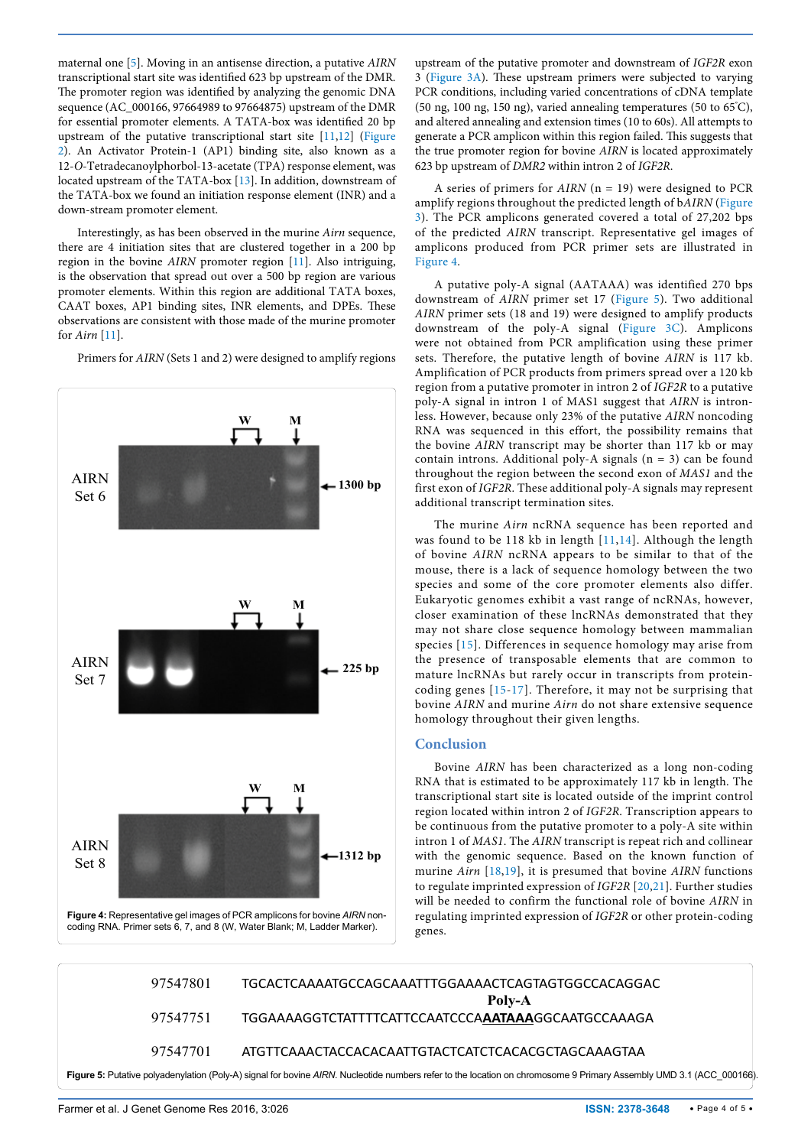maternal one [[5](#page-4-8)]. Moving in an antisense direction, a putative *AIRN*  transcriptional start site was identified 623 bp upstream of the DMR. The promoter region was identified by analyzing the genomic DNA sequence (AC\_000166, 97664989 to 97664875) upstream of the DMR for essential promoter elements. A TATA-box was identified 20 bp upstream of the putative transcriptional start site [[11](#page-4-9)[,12\]](#page-4-10) [\(Figure](#page-2-0)  [2\)](#page-2-0). An Activator Protein-1 (AP1) binding site, also known as a 12-*O*-Tetradecanoylphorbol-13-acetate (TPA) response element, was located upstream of the TATA-box [\[13\]](#page-4-11). In addition, downstream of the TATA-box we found an initiation response element (INR) and a down-stream promoter element.

Interestingly, as has been observed in the murine *Airn* sequence, there are 4 initiation sites that are clustered together in a 200 bp region in the bovine *AIRN* promoter region [[11\]](#page-4-9). Also intriguing, is the observation that spread out over a 500 bp region are various promoter elements. Within this region are additional TATA boxes, CAAT boxes, AP1 binding sites, INR elements, and DPEs. These observations are consistent with those made of the murine promoter for *Airn* [[11](#page-4-9)].

Primers for *AIRN* (Sets 1 and 2) were designed to amplify regions

<span id="page-3-0"></span>

upstream of the putative promoter and downstream of *IGF2R* exon 3 ([Figure 3A](#page-2-1)). These upstream primers were subjected to varying PCR conditions, including varied concentrations of cDNA template (50 ng, 100 ng, 150 ng), varied annealing temperatures (50 to 65° C), and altered annealing and extension times (10 to 60s). All attempts to generate a PCR amplicon within this region failed. This suggests that the true promoter region for bovine *AIRN* is located approximately 623 bp upstream of *DMR2* within intron 2 of *IGF2R*.

A series of primers for *AIRN* (n = 19) were designed to PCR amplify regions throughout the predicted length of b*AIRN* ([Figure](#page-2-1)  [3](#page-2-1)). The PCR amplicons generated covered a total of 27,202 bps of the predicted *AIRN* transcript. Representative gel images of amplicons produced from PCR primer sets are illustrated in F[igure 4.](#page-3-0)

A putative poly-A signal (AATAAA) was identified 270 bps downstream of *AIRN* primer set 17 ([Figure 5](#page-3-1)). Two additional *AIRN* primer sets (18 and 19) were designed to amplify products downstream of the poly-A signal [\(Figure 3C](#page-2-1)). Amplicons were not obtained from PCR amplification using these primer sets. Therefore, the putative length of bovine *AIRN* is 117 kb. Amplification of PCR products from primers spread over a 120 kb region from a putative promoter in intron 2 of *IGF2R* to a putative poly-A signal in intron 1 of MAS1 suggest that *AIRN* is intronless. However, because only 23% of the putative *AIRN* noncoding RNA was sequenced in this effort, the possibility remains that the bovine *AIRN* transcript may be shorter than 117 kb or may contain introns. Additional poly-A signals  $(n = 3)$  can be found throughout the region between the second exon of *MAS1* and the first exon of *IGF2R*. These additional poly-A signals may represent additional transcript termination sites.

The murine *Airn* ncRNA sequence has been reported and was found to be 118 kb in length [[11](#page-4-9),[14](#page-4-12)]. Although the length of bovine *AIRN* ncRNA appears to be similar to that of the mouse, there is a lack of sequence homology between the two species and some of the core promoter elements also differ. Eukaryotic genomes exhibit a vast range of ncRNAs, however, closer examination of these lncRNAs demonstrated that they may not share close sequence homology between mammalian species [[15\]](#page-4-13). Differences in sequence homology may arise from the presence of transposable elements that are common to mature lncRNAs but rarely occur in transcripts from proteincoding genes [[15](#page-4-13)-[17\]](#page-4-14). Therefore, it may not be surprising that bovine *AIRN* and murine *Airn* do not share extensive sequence homology throughout their given lengths.

## **Conclusion**

Bovine *AIRN* has been characterized as a long non-coding RNA that is estimated to be approximately 117 kb in length. The transcriptional start site is located outside of the imprint control region located within intron 2 of *IGF2R*. Transcription appears to be continuous from the putative promoter to a poly-A site within intron 1 of *MAS1*. The *AIRN* transcript is repeat rich and collinear with the genomic sequence. Based on the known function of murine *Airn* [[18](#page-4-15)[,19](#page-4-16)], it is presumed that bovine *AIRN* functions to regulate imprinted expression of *IGF2R* [[20](#page-4-17)[,21](#page-4-18)]. Further studies will be needed to confirm the functional role of bovine *AIRN* in regulating imprinted expression of *IGF2R* or other protein-coding genes.

<span id="page-3-1"></span>

| 97547801                                                                                                                                                           | TGCACTCAAAATGCCAGCAAATTTGGAAAACTCAGTAGTGGCCACAGGAC           |  |  |  |  |
|--------------------------------------------------------------------------------------------------------------------------------------------------------------------|--------------------------------------------------------------|--|--|--|--|
| 97547751                                                                                                                                                           | Poly-A<br>TGGAAAAGGTCTATTTTCATTCCAATCCCAAATAAAGGCAATGCCAAAGA |  |  |  |  |
| 97547701                                                                                                                                                           | ATGTTCAAACTACCACACAATTGTACTCATCTCACACGCTAGCAAAGTAA           |  |  |  |  |
| Figure 5: Putative polyadenylation (Poly-A) signal for bovine AIRN. Nucleotide numbers refer to the location on chromosome 9 Primary Assembly UMD 3.1 (ACC 000166) |                                                              |  |  |  |  |